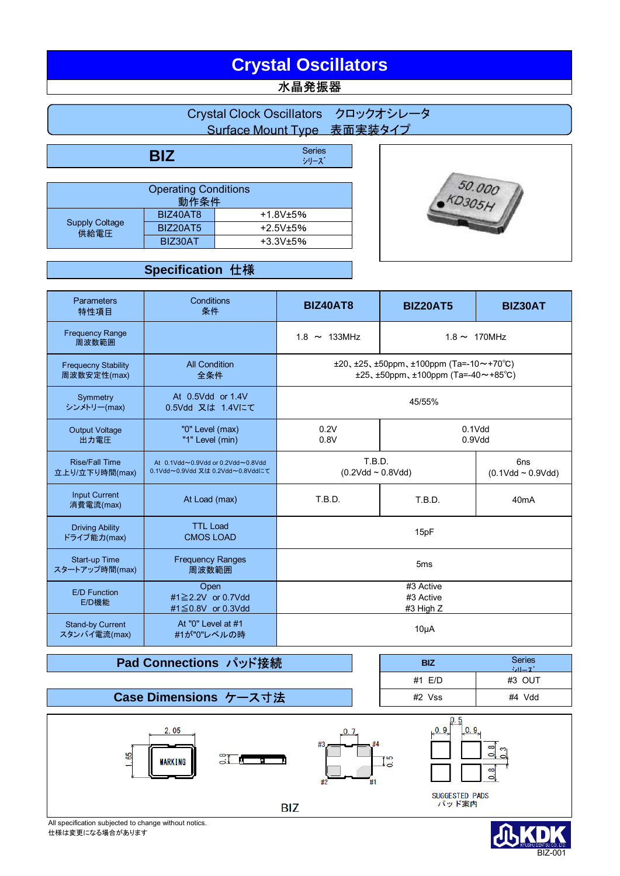# **Crystal Oscillators**

## 水晶発振器

|          | Crystal Clock Oscillators クロックオシレータ<br>Surface Mount Type 表面実装タイプ |        |
|----------|-------------------------------------------------------------------|--------|
|          |                                                                   |        |
| BIZ      | <b>Series</b><br>シリーズ                                             |        |
|          |                                                                   |        |
|          | <b>Operating Conditions</b>                                       |        |
|          | 動作条件                                                              | 50.000 |
| BIZ40AT8 | $+1.8V±5%$                                                        |        |

+2.5V±5% +3.3V±5%

## **Specification** 仕様

BIZ20AT5 BIZ30AT

Supply Coltage 供給電圧

| <b>Parameters</b><br>特性項目                                                                    | Conditions<br>条件                                                      | <b>BIZ40AT8</b>                                                                                                  | <b>BIZ20AT5</b>     | <b>BIZ30AT</b>     |
|----------------------------------------------------------------------------------------------|-----------------------------------------------------------------------|------------------------------------------------------------------------------------------------------------------|---------------------|--------------------|
| <b>Frequency Range</b><br>周波数範囲                                                              |                                                                       | $1.8 \sim 133$ MHz                                                                                               |                     | $1.8 \sim 170$ MHz |
| <b>All Condition</b><br><b>Frequecny Stability</b><br>周波数安定性(max)<br>全条件                     |                                                                       | $\pm 20, \pm 25, \pm 50$ ppm, $\pm 100$ ppm (Ta=-10~+70°C)<br>$\pm 25, \pm 50$ ppm, $\pm 100$ ppm (Ta=-40~+85°C) |                     |                    |
| Symmetry<br>シンメトリー(max)                                                                      | At 0.5Vdd or 1.4V<br>0.5Vdd 又は 1.4Vにて                                 | 45/55%                                                                                                           |                     |                    |
| <b>Output Voltage</b><br>出力電圧                                                                | "0" Level (max)<br>"1" Level (min)                                    | 0.2V<br>0.8V                                                                                                     | $0.1$ Vdd<br>0.9Vdd |                    |
| <b>Rise/Fall Time</b><br>立上り/立下り時間(max)                                                      | At 0.1Vdd~0.9Vdd or 0.2Vdd~0.8Vdd<br>0.1Vdd~0.9Vdd 又は 0.2Vdd~0.8Vddにて | T.B.D.<br>6 <sub>ns</sub><br>$(0.2Vdd \sim 0.8Vdd)$<br>$(0.1Vdd - 0.9Vdd)$                                       |                     |                    |
| <b>Input Current</b><br>消費電流(max)                                                            | At Load (max)                                                         | T.B.D.                                                                                                           | T.B.D.              | 40 <sub>m</sub> A  |
| <b>TTL Load</b><br><b>Driving Ability</b><br>ドライブ能力(max)<br><b>CMOS LOAD</b>                 |                                                                       | 15pF                                                                                                             |                     |                    |
| <b>Frequency Ranges</b><br><b>Start-up Time</b><br>スタートアップ時間(max)<br>周波数範囲                   |                                                                       | 5 <sub>ms</sub>                                                                                                  |                     |                    |
| Open<br><b>E/D Function</b><br>#1 $\geq$ 2.2V or 0.7Vdd<br>E/D機能<br>#1 $\leq$ 0.8V or 0.3Vdd |                                                                       | #3 Active<br>#3 Active<br>#3 High Z                                                                              |                     |                    |
| At "0" Level at #1<br><b>Stand-by Current</b><br>#1が"0"レベルの時<br>スタンバイ電流(max)                 |                                                                       | $10\muA$                                                                                                         |                     |                    |

## **Pad Connections パッド接続**

**Case Dimensions** ケース寸法

**BIZ** Series シリーズ #1 E/D #3 OUT #2 Vss #4 Vdd



仕様は変更になる場合があります